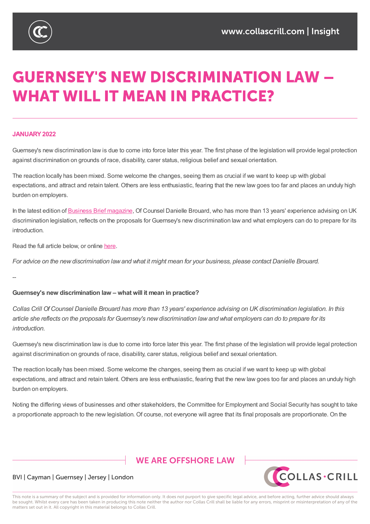

# **GUERNSEY'S NEW DISCRIMINATION LAW -WHAT WILL IT MEAN IN PRACTICE?**

#### **JANUARY2022**

Guernsey's new discrimination law is due to come into force later this year. The first phase of the legislation will provide legal protection against discrimination on grounds of race, disability, carer status, religious belief and sexual orientation.

The reaction locally has been mixed. Some welcome the changes, seeing them as crucial if we want to keep up with global expectations, and attract and retain talent. Others are less enthusiastic, fearing that the new law goes too far and places an unduly high burden on employers.

In the latest edition of Business Brief magazine, Of Counsel Danielle Brouard, who has more than 13 years' experience advising on UK discrimination legislation, reflects on the proposals for Guernsey's new discrimination law and what employers can do to prepare for its introduction.

Read the full article below, or [online](https://www.briefci.com/) here.

For advice on the new discrimination law and what it might mean for your business, please contact Danielle Brouard.

--

#### **Guernsey's new discrimination law – what will it mean in practice?**

Collas Crill Of Counsel Danielle Brouard has more than 13 years' experience advising on UK discrimination legislation. In this article she reflects on the proposals for Guernsey's new discrimination law and what employers can do to prepare for its *introduction.*

Guernsey's new discrimination law is due to come into force later this year. The first phase of the legislation will provide legal protection against discrimination on grounds of race, disability, carer status, religious belief and sexual orientation.

The reaction locally has been mixed. Some welcome the changes, seeing them as crucial if we want to keep up with global expectations, and attract and retain talent. Others are less enthusiastic, fearing that the new law goes too far and places an unduly high burden on employers.

Noting the differing views of businesses and other stakeholders, the Committee for Employment and Social Security has sought to take a proportionate approach to the new legislation. Of course, not everyone will agree that its final proposals are proportionate. On the

## **WE ARE OFFSHORE LAW**



## BVI | Cayman | Guernsey | Jersey | London

This note is a summary of the subject and is provided for information only. It does not purport to give specific legal advice, and before acting, further advice should always be sought. Whilst every care has been taken in producing this note neither the author nor Collas Crill shall be liable for any errors, misprint or misinterpretation of any of the matters set out in it. All copyright in this material belongs to Collas Crill.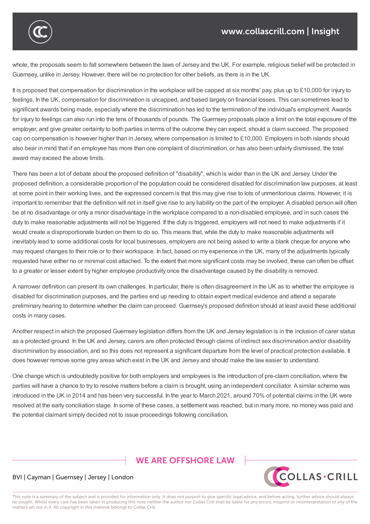

whole, the proposals seem to fall somewhere between the laws of Jersey and the UK. For example, religious belief will be protected in Guernsey, unlike in Jersey. However, there will be no protection for other beliefs, as there is in the UK.

It is proposed that compensation for discrimination in the workplace will be capped at six months' pay, plus up to £10,000 for injury to feelings. In the UK, compensation for discrimination is uncapped, and based largely on financial losses. This can sometimes lead to significant awards being made, especially where the discrimination has led to the termination of the individual's employment. Awards for injury to feelings can also run into the tens of thousands of pounds. The Guernsey proposals place a limit on the total exposure of the employer, and give greater certainty to both parties in terms of the outcome they can expect, should a claim succeed. The proposed cap on compensation is however higher than in Jersey, where compensation is limited to £10,000. Employers in both islands should also bear in mind that if an employee has more than one complaint of discrimination, or has also been unfairly dismissed, the total award may exceed the above limits.

There has been a lot of debate about the proposed definition of "disability", which is wider than in the UK and Jersey. Under the proposed definition, a considerable proportion of the population could be considered disabled for discrimination law purposes, at least at some point in their working lives, and the expressed concern is that this may give rise to lots of unmeritorious claims. However, it is important to remember that the definition will not in itself give rise to any liability on the part of the employer. A disabled person will often be at no disadvantage or only a minor disadvantage in the workplace compared to a non-disabled employee, and in such cases the duty to make reasonable adjustments will not be triggered. If the duty is triggered, employers will not need to make adjustments if it would create a disproportionate burden on them to do so. This means that, while the duty to make reasonable adjustments will inevitably lead to some additional costs for local businesses, employers are not being asked to write a blank cheque for anyone who may request changes to their role or to their workspace. In fact, based on my experience in the UK, many of the adjustments typically requested have either no or minimal cost attached. To the extent that more significant costs may be involved, these can often be offset to a greater or lesser extent by higher employee productivity once the disadvantage caused by the disability is removed.

A narrower definition can present its own challenges. In particular, there is often disagreement in the UK as to whether the employee is disabled for discrimination purposes, and the parties end up needing to obtain expert medical evidence and attend a separate preliminary hearing to determine whether the claim can proceed. Guernsey's proposed definition should at least avoid these additional costs in many cases.

Another respect in which the proposed Guernsey legislation differs from the UK and Jersey legislation is in the inclusion of carer status as a protected ground. In the UK and Jersey, carers are often protected through claims of indirect sex discrimination and/or disability discrimination by association, and so this does not represent a significant departure from the level of practical protection available. It does however remove some grey areas which exist in the UK and Jersey and should make the law easier to understand.

One change which is undoubtedly positive for both employers and employees is the introduction of pre-claim conciliation, where the parties will have a chance to try to resolve matters before a claim is brought, using an independent conciliator. A similar scheme was introduced in the UK in 2014 and has been very successful. In the year to March 2021, around 70% of potential claims in the UK were resolved at the early conciliation stage. In some of these cases, a settlement was reached, but in many more, no money was paid and the potential claimant simply decided not to issue proceedings following conciliation.

# **WE ARE OFFSHORE LAW**



## BVI | Cayman | Guernsey | Jersey | London

This note is a summary of the subject and is provided for information only. It does not purport to give specific legal advice, and before acting, further advice should always be sought. Whilst every care has been taken in producing this note neither the author nor Collas Crill shall be liable for any errors, misprint or misinterpretation of any of the matters set out in it. All copyright in this material belongs to Collas Crill.